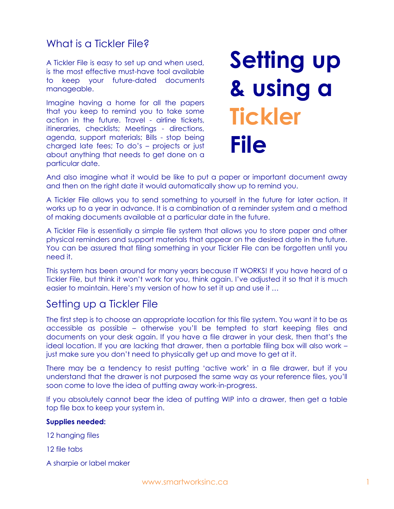## What is a Tickler File?

A Tickler File is easy to set up and when used, is the most effective must-have tool available to keep your future-dated documents manageable.

Imagine having a home for all the papers that you keep to remind you to take some action in the future. Travel - airline tickets, itineraries, checklists; Meetings - directions, agenda, support materials; Bills - stop being charged late fees; To do's – projects or just about anything that needs to get done on a particular date.

# **Setting up & using a Tickler File**

And also imagine what it would be like to put a paper or important document away and then on the right date it would automatically show up to remind you.

A Tickler File allows you to send something to yourself in the future for later action. It works up to a year in advance. It is a combination of a reminder system and a method of making documents available at a particular date in the future.

A Tickler File is essentially a simple file system that allows you to store paper and other physical reminders and support materials that appear on the desired date in the future. You can be assured that filing something in your Tickler File can be forgotten until you need it.

This system has been around for many years because IT WORKS! If you have heard of a Tickler File, but think it won't work for you, think again. I've adjusted it so that it is much easier to maintain. Here's my version of how to set it up and use it …

## Setting up a Tickler File

The first step is to choose an appropriate location for this file system. You want it to be as accessible as possible – otherwise you'll be tempted to start keeping files and documents on your desk again. If you have a file drawer in your desk, then that's the ideal location. If you are lacking that drawer, then a portable filing box will also work – just make sure you don't need to physically get up and move to get at it.

There may be a tendency to resist putting 'active work' in a file drawer, but if you understand that the drawer is not purposed the same way as your reference files, you'll soon come to love the idea of putting away work-in-progress.

If you absolutely cannot bear the idea of putting WIP into a drawer, then get a table top file box to keep your system in.

#### **Supplies needed:**

12 hanging files

12 file tabs

A sharpie or label maker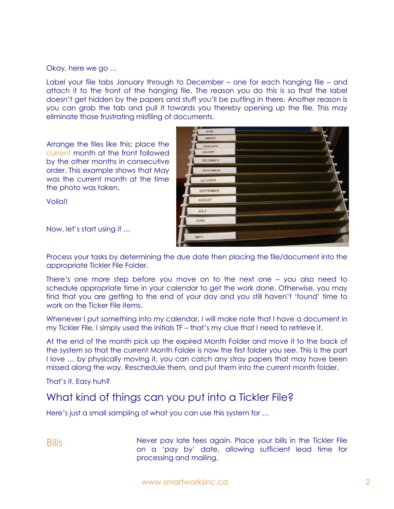Okay, here we go …

Label your file tabs January through to December – one for each hanging file – and attach it to the front of the hanging file. The reason you do this is so that the label doesn't get hidden by the papers and stuff you'll be putting in there. Another reason is you can grab the tab and pull it towards you thereby opening up the file. This may eliminate those frustrating misfiling of documents.

APRIL

Arrange the files like this: place the current month at the front followed by the other months in consecutive order. This example shows that May was the current month at the time the photo was taken.

| <b>MARCH</b>     |  |
|------------------|--|
| <b>FEBRUARY</b>  |  |
| JANUARY          |  |
| <b>DECEMBER</b>  |  |
| <b>NOVEMBER</b>  |  |
| <b>OCTOBER</b>   |  |
| <b>SEPTEMBER</b> |  |
| <b>AUGUST</b>    |  |
| JULY             |  |
| JUNE             |  |
|                  |  |
| <b>MAY</b>       |  |
|                  |  |

Voila!!

Now, let's start using it …

Process your tasks by determining the due date then placing the file/document into the appropriate Tickler File Folder.

There's one more step before you move on to the next one – you also need to schedule appropriate time in your calendar to get the work done. Otherwise, you may find that you are getting to the end of your day and you still haven't 'found' time to work on the Ticker File items.

Whenever I put something into my calendar, I will make note that I have a document in my Tickler File. I simply used the initials TF – that's my clue that I need to retrieve it.

At the end of the month pick up the expired Month Folder and move it to the back of the system so that the current Month Folder is now the first folder you see. This is the part I love … by physically moving it, you can catch any stray papers that may have been missed along the way. Reschedule them, and put them into the current month folder.

That's it. Easy huh?

### What kind of things can you put into a Tickler File?

Here's just a small sampling of what you can use this system for …

Bills Never pay late fees again. Place your bills in the Tickler File on a 'pay by' date, allowing sufficient lead time for processing and mailing.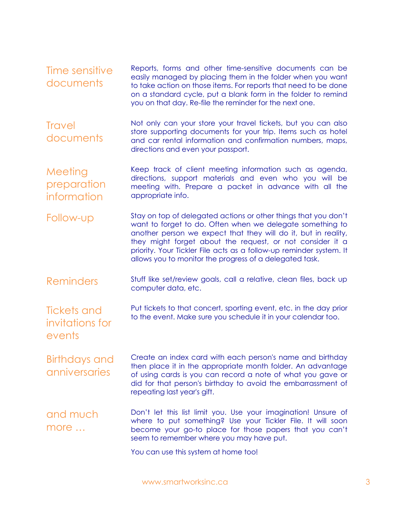Time sensitive documents Reports, forms and other time-sensitive documents can be easily managed by placing them in the folder when you want to take action on those items. For reports that need to be done on a standard cycle, put a blank form in the folder to remind you on that day. Re-file the reminder for the next one. **Travel** documents Not only can your store your travel tickets, but you can also store supporting documents for your trip. Items such as hotel and car rental information and confirmation numbers, maps, directions and even your passport. **Meeting** preparation information Keep track of client meeting information such as agenda, directions, support materials and even who you will be meeting with. Prepare a packet in advance with all the appropriate info. Follow-up Stay on top of delegated actions or other things that you don't want to forget to do. Often when we delegate something to another person we expect that they will do it, but in reality, they might forget about the request, or not consider it a priority. Your Tickler File acts as a follow-up reminder system. It allows you to monitor the progress of a delegated task. Reminders Stuff like set/review goals, call a relative, clean files, back up computer data, etc. Tickets and invitations for events Put tickets to that concert, sporting event, etc. in the day prior to the event. Make sure you schedule it in your calendar too. Birthdays and anniversaries Create an index card with each person's name and birthday then place it in the appropriate month folder. An advantage of using cards is you can record a note of what you gave or did for that person's birthday to avoid the embarrassment of

and much more … Don't let this list limit you. Use your imagination! Unsure of where to put something? Use your Tickler File. It will soon become your go-to place for those papers that you can't seem to remember where you may have put.

repeating last year's gift.

You can use this system at home too!